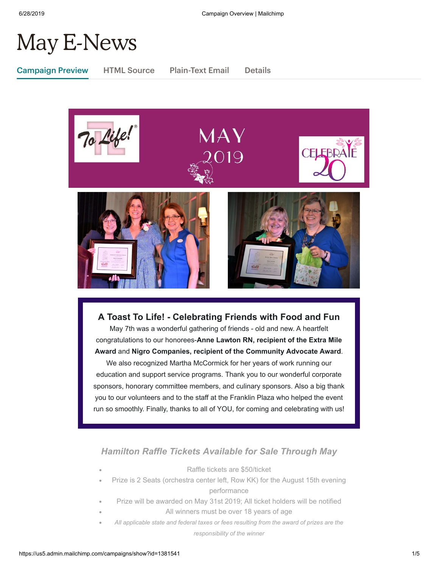# May E-News

Campaign Preview HTML Source Plain-Text Email Details



**A Toast To Life! - Celebrating Friends with Food and Fun** May 7th was a wonderful gathering of friends - old and new. A heartfelt congratulations to our honorees-**Anne Lawton RN, recipient of the Extra Mile**

**Award** and **Nigro Companies, recipient of the Community Advocate Award**.

We also recognized Martha McCormick for her years of work running our education and support service programs. Thank you to our wonderful corporate sponsors, honorary committee members, and culinary sponsors. Also a big thank you to our volunteers and to the staff at the Franklin Plaza who helped the event run so smoothly. Finally, thanks to all of YOU, for coming and celebrating with us!

## *Hamilton Raffle Tickets Available for Sale Through May*

- Raffle tickets are \$50/ticket Prize is 2 Seats (orchestra center left, Row KK) for the August 15th evening performance
- Prize will be awarded on May 31st 2019; All ticket holders will be notified
- All winners must be over 18 years of age
- *All applicable state and federal taxes or fees resulting from the award of prizes are the responsibility of the winner*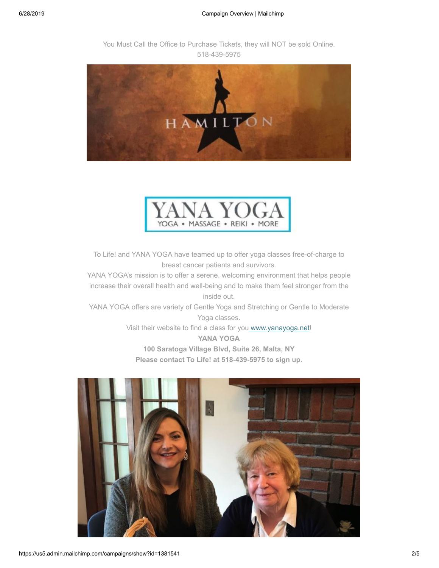You Must Call the Office to Purchase Tickets, they will NOT be sold Online. 518-439-5975



7 YO YOGA . MASSAGE . REIKI . MORE

To Life! and YANA YOGA have teamed up to offer yoga classes free-of-charge to breast cancer patients and survivors.

YANA YOGA's mission is to offer a serene, welcoming environment that helps people increase their overall health and well-being and to make them feel stronger from the inside out.

YANA YOGA offers are variety of Gentle Yoga and Stretching or Gentle to Moderate Yoga classes.

> Visit their website to find a class for yo[u www.yanayoga.net!](http://www.yanayoga.net/) **YANA YOGA 100 Saratoga Village Blvd, Suite 26, Malta, NY**

**Please contact To Life! at 518-439-5975 to sign up.**

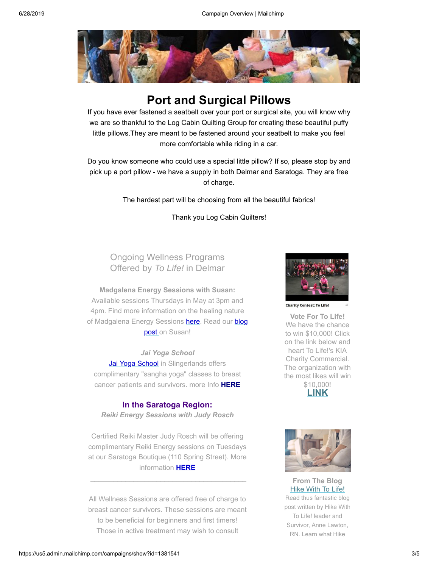

# **Port and Surgical Pillows**

If you have ever fastened a seatbelt over your port or surgical site, you will know why we are so thankful to the Log Cabin Quilting Group for creating these beautiful puffy little pillows.They are meant to be fastened around your seatbelt to make you feel more comfortable while riding in a car.

Do you know someone who could use a special little pillow? If so, please stop by and pick up a port pillow - we have a supply in both Delmar and Saratoga. They are free of charge.

The hardest part will be choosing from all the beautiful fabrics!

Thank you Log Cabin Quilters!

# Ongoing Wellness Programs Offered by *To Life!* in Delmar

**Madgalena Energy Sessions with Susan:** Available sessions Thursdays in May at 3pm and 4pm. Find more information on the healing nature of Madgalena Ene[rgy Sessions](https://tolife.org/blog/lets-chat-energy-healer-sue-sperber) [here](https://www.magdalenahealing.com/)[. Read our blog](https://tolife.org/blog/lets-chat-energy-healer-sue-sperber) post on Susan!

*Jai Yoga School* [Jai Yoga School](https://jaiyogaschool.com/) in Slingerlands offers complimentary "sangha yoga" classes to breast cancer patients and survivors. more Info **[HERE](https://tolife.org/youve-been-diagnosed-now-what/support/wellness-programs)**

#### **In the Saratoga Region:**

*Reiki Energy Sessions with Judy Rosch*

Certified Reiki Master Judy Rosch will be offering complimentary Reiki Energy sessions on Tuesdays at our Saratoga Boutique (110 Spring Street). More information **[HERE](https://tolife.org/youve-been-diagnosed-now-what/support/wellness-programs)**

All Wellness Sessions are offered free of charge to breast cancer survivors. These sessions are meant to be beneficial for beginners and first timers! Those in active treatment may wish to consult



**Charity Contest: To Life!** 

**Vote For To Life!** We have the chance to win \$10,000! Click on the link below and heart To Life!'s KIA Charity Commercial. The organization with the most likes will win \$10,000!





**From The Blog [Hike With To Life!](https://tolife.org//blog/hike-life)** Read thus fantastic blog post written by Hike With To Life! leader and Survivor, Anne Lawton, RN. Learn what Hike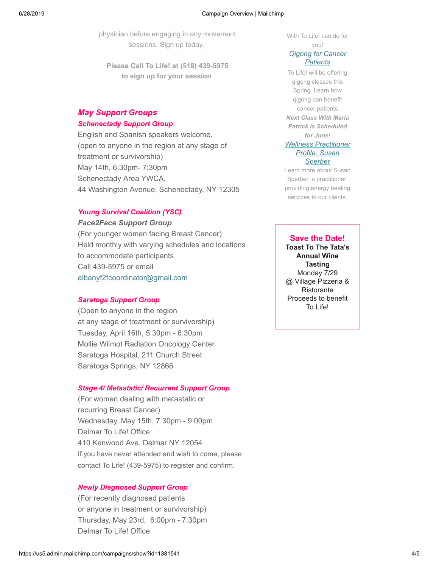physician before engaging in any movement sessions. Sign up today.

**Please Call To Life! at (518) 439-5975 to sign up for your session** 

### *May Support Groups*

#### *Schenectady Support Group*

English and Spanish speakers welcome. (open to anyone in the region at any stage of treatment or survivorship) May 14th, 6:30pm- 7:30pm Schenectady Area YWCA, 44 Washington Avenue, Schenectady, NY 12305

#### *Young Survival Coalition (YSC)*

#### *Face2Face Support Group*

(For younger women facing Breast Cancer) Held monthly with varying schedules and locations to accommodate participants Call 439-5975 or email [albanyf2fcoordinator@gmail.com](mailto:albanyf2fcoordinator@gmail.com)

#### *Saratoga Support Group*

(Open to anyone in the region at any stage of treatment or survivorship) Tuesday, April 16th, 5:30pm - 6:30pm Mollie Wilmot Radiation Oncology Center Saratoga Hospital, 211 Church Street Saratoga Springs, NY 12866

#### *Stage 4/ Metastatic/ Recurrent Support Group*

(For women dealing with metastatic or recurring Breast Cancer) Wednesday, May 15th, 7:30pm - 9:00pm Delmar To Life! Office 410 Kenwood Ave, Delmar NY 12054 If you have never attended and wish to come, please contact To Life! (439-5975) to register and confirm.

#### *Newly Diagnosed Support Group*

(For recently diagnosed patients or anyone in treatment or survivorship) Thursday, May 23rd, 6:00pm - 7:30pm Delmar To Life! Office

With To Life! can do for

#### you! *[Qigong for Cancer](https://tolife.org//blog/qigong-cancer-patients) Patients*

To Life! will be offering qigong classes this Spring. Learn how qigong can benefit cancer patients *Next Class With Maria Patrick is Scheduled for June! [Wellness Practitioner](https://tolife.org//blog/lets-chat-energy-healer-sue-sperber) Profile: Susan Sperber*

Learn more about Susan Sperber, a practitioner providing energy healing services to our clients.

#### **Save the Date!**

**Toast To The Tata's Annual Wine Tasting** Monday 7/29 @ Village Pizzeria & Ristorante Proceeds to benefit To Life!